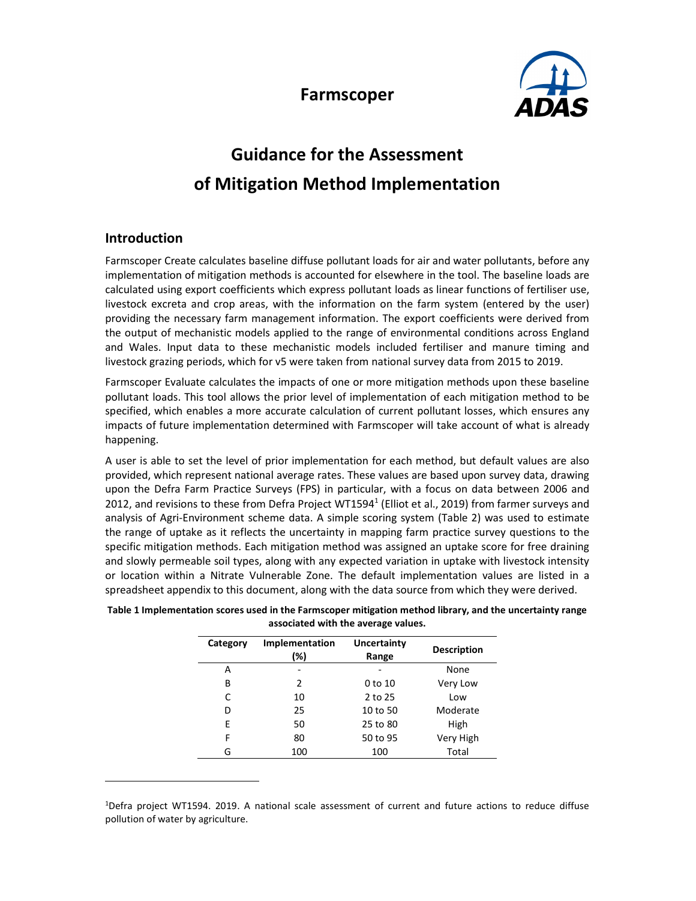



# Guidance for the Assessment of Mitigation Method Implementation

# Introduction

Farmscoper Create calculates baseline diffuse pollutant loads for air and water pollutants, before any implementation of mitigation methods is accounted for elsewhere in the tool. The baseline loads are calculated using export coefficients which express pollutant loads as linear functions of fertiliser use, livestock excreta and crop areas, with the information on the farm system (entered by the user) providing the necessary farm management information. The export coefficients were derived from the output of mechanistic models applied to the range of environmental conditions across England and Wales. Input data to these mechanistic models included fertiliser and manure timing and livestock grazing periods, which for v5 were taken from national survey data from 2015 to 2019.

Farmscoper Evaluate calculates the impacts of one or more mitigation methods upon these baseline pollutant loads. This tool allows the prior level of implementation of each mitigation method to be specified, which enables a more accurate calculation of current pollutant losses, which ensures any impacts of future implementation determined with Farmscoper will take account of what is already happening.

A user is able to set the level of prior implementation for each method, but default values are also provided, which represent national average rates. These values are based upon survey data, drawing upon the Defra Farm Practice Surveys (FPS) in particular, with a focus on data between 2006 and 2012, and revisions to these from Defra Project WT1594<sup>1</sup> (Elliot et al., 2019) from farmer surveys and analysis of Agri-Environment scheme data. A simple scoring system (Table 2) was used to estimate the range of uptake as it reflects the uncertainty in mapping farm practice survey questions to the specific mitigation methods. Each mitigation method was assigned an uptake score for free draining and slowly permeable soil types, along with any expected variation in uptake with livestock intensity or location within a Nitrate Vulnerable Zone. The default implementation values are listed in a spreadsheet appendix to this document, along with the data source from which they were derived.

| Category | Implementation<br>(%) | Uncertainty<br>Range | <b>Description</b> |  |
|----------|-----------------------|----------------------|--------------------|--|
| А        | -                     |                      | None               |  |
| В        | $\mathcal{P}$         | 0 <sub>to 10</sub>   | Very Low           |  |
| C        | 10                    | 2 to 25              | Low                |  |
| D        | 25                    | 10 to 50             | Moderate           |  |
| E        | 50                    | 25 to 80             | High               |  |
| F        | 80                    | 50 to 95             | Very High          |  |
| G        | 100                   | 100                  | Total              |  |

Table 1 Implementation scores used in the Farmscoper mitigation method library, and the uncertainty range associated with the average values.

<sup>1</sup>Defra project WT1594. 2019. A national scale assessment of current and future actions to reduce diffuse pollution of water by agriculture.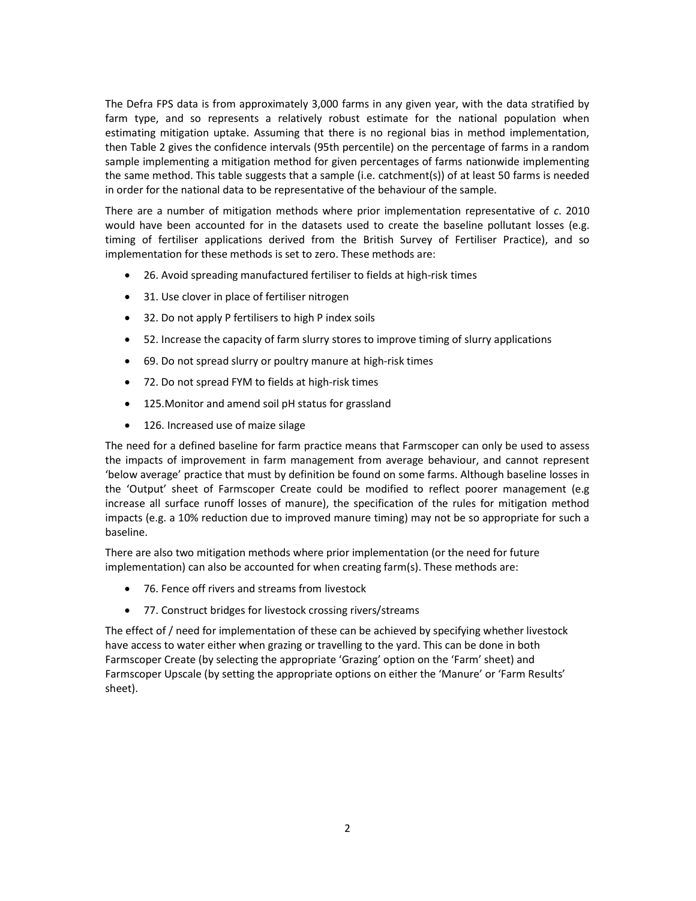The Defra FPS data is from approximately 3,000 farms in any given year, with the data stratified by farm type, and so represents a relatively robust estimate for the national population when estimating mitigation uptake. Assuming that there is no regional bias in method implementation, then Table 2 gives the confidence intervals (95th percentile) on the percentage of farms in a random sample implementing a mitigation method for given percentages of farms nationwide implementing the same method. This table suggests that a sample (i.e. catchment(s)) of at least 50 farms is needed in order for the national data to be representative of the behaviour of the sample.

There are a number of mitigation methods where prior implementation representative of c. 2010 would have been accounted for in the datasets used to create the baseline pollutant losses (e.g. timing of fertiliser applications derived from the British Survey of Fertiliser Practice), and so implementation for these methods is set to zero. These methods are:

- 26. Avoid spreading manufactured fertiliser to fields at high-risk times
- 31. Use clover in place of fertiliser nitrogen
- 32. Do not apply P fertilisers to high P index soils
- 52. Increase the capacity of farm slurry stores to improve timing of slurry applications
- 69. Do not spread slurry or poultry manure at high-risk times
- 72. Do not spread FYM to fields at high-risk times
- 125.Monitor and amend soil pH status for grassland
- 126. Increased use of maize silage

The need for a defined baseline for farm practice means that Farmscoper can only be used to assess the impacts of improvement in farm management from average behaviour, and cannot represent 'below average' practice that must by definition be found on some farms. Although baseline losses in the 'Output' sheet of Farmscoper Create could be modified to reflect poorer management (e.g increase all surface runoff losses of manure), the specification of the rules for mitigation method impacts (e.g. a 10% reduction due to improved manure timing) may not be so appropriate for such a baseline.

There are also two mitigation methods where prior implementation (or the need for future implementation) can also be accounted for when creating farm(s). These methods are:

- 76. Fence off rivers and streams from livestock
- 77. Construct bridges for livestock crossing rivers/streams

The effect of / need for implementation of these can be achieved by specifying whether livestock have access to water either when grazing or travelling to the yard. This can be done in both Farmscoper Create (by selecting the appropriate 'Grazing' option on the 'Farm' sheet) and Farmscoper Upscale (by setting the appropriate options on either the 'Manure' or 'Farm Results' sheet).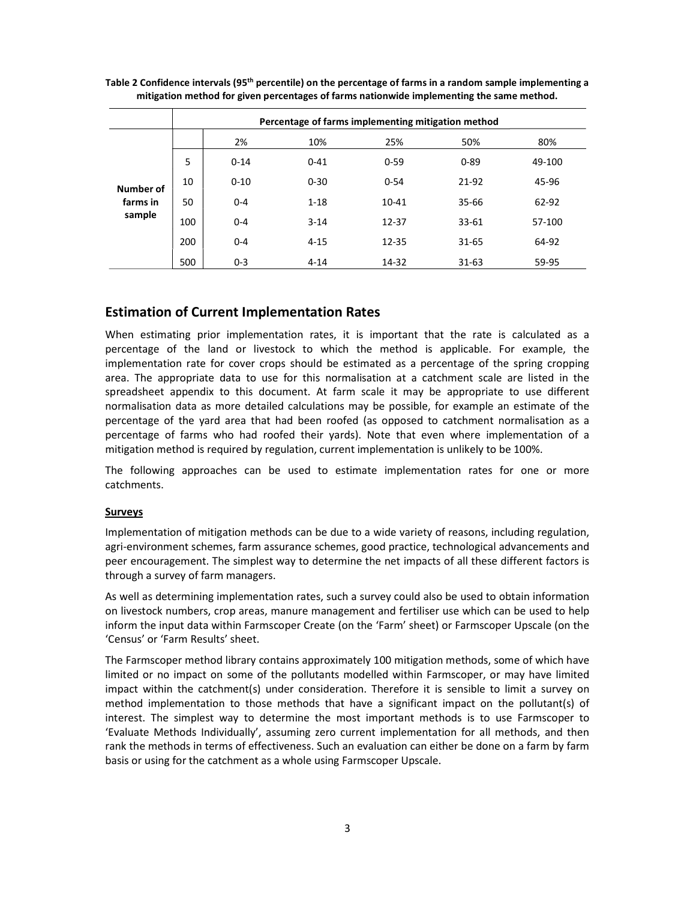|                                 | Percentage of farms implementing mitigation method |          |          |           |           |        |  |  |
|---------------------------------|----------------------------------------------------|----------|----------|-----------|-----------|--------|--|--|
|                                 |                                                    | 2%       | 10%      | 25%       | 50%       | 80%    |  |  |
| Number of<br>farms in<br>sample | 5                                                  | $0 - 14$ | $0 - 41$ | $0 - 59$  | $0 - 89$  | 49-100 |  |  |
|                                 | 10                                                 | $0 - 10$ | $0 - 30$ | $0 - 54$  | 21-92     | 45-96  |  |  |
|                                 | 50                                                 | $0 - 4$  | $1 - 18$ | $10 - 41$ | 35-66     | 62-92  |  |  |
|                                 | 100                                                | $0 - 4$  | $3 - 14$ | 12-37     | $33 - 61$ | 57-100 |  |  |
|                                 | 200                                                | $0 - 4$  | $4 - 15$ | 12-35     | 31-65     | 64-92  |  |  |
|                                 | 500                                                | $0 - 3$  | $4 - 14$ | 14-32     | $31 - 63$ | 59-95  |  |  |

Table 2 Confidence intervals (95<sup>th</sup> percentile) on the percentage of farms in a random sample implementing a mitigation method for given percentages of farms nationwide implementing the same method.

# Estimation of Current Implementation Rates

When estimating prior implementation rates, it is important that the rate is calculated as a percentage of the land or livestock to which the method is applicable. For example, the implementation rate for cover crops should be estimated as a percentage of the spring cropping area. The appropriate data to use for this normalisation at a catchment scale are listed in the spreadsheet appendix to this document. At farm scale it may be appropriate to use different normalisation data as more detailed calculations may be possible, for example an estimate of the percentage of the yard area that had been roofed (as opposed to catchment normalisation as a percentage of farms who had roofed their yards). Note that even where implementation of a mitigation method is required by regulation, current implementation is unlikely to be 100%.

The following approaches can be used to estimate implementation rates for one or more catchments.

#### **Surveys**

Implementation of mitigation methods can be due to a wide variety of reasons, including regulation, agri-environment schemes, farm assurance schemes, good practice, technological advancements and peer encouragement. The simplest way to determine the net impacts of all these different factors is through a survey of farm managers.

As well as determining implementation rates, such a survey could also be used to obtain information on livestock numbers, crop areas, manure management and fertiliser use which can be used to help inform the input data within Farmscoper Create (on the 'Farm' sheet) or Farmscoper Upscale (on the 'Census' or 'Farm Results' sheet.

The Farmscoper method library contains approximately 100 mitigation methods, some of which have limited or no impact on some of the pollutants modelled within Farmscoper, or may have limited impact within the catchment(s) under consideration. Therefore it is sensible to limit a survey on method implementation to those methods that have a significant impact on the pollutant(s) of interest. The simplest way to determine the most important methods is to use Farmscoper to 'Evaluate Methods Individually', assuming zero current implementation for all methods, and then rank the methods in terms of effectiveness. Such an evaluation can either be done on a farm by farm basis or using for the catchment as a whole using Farmscoper Upscale.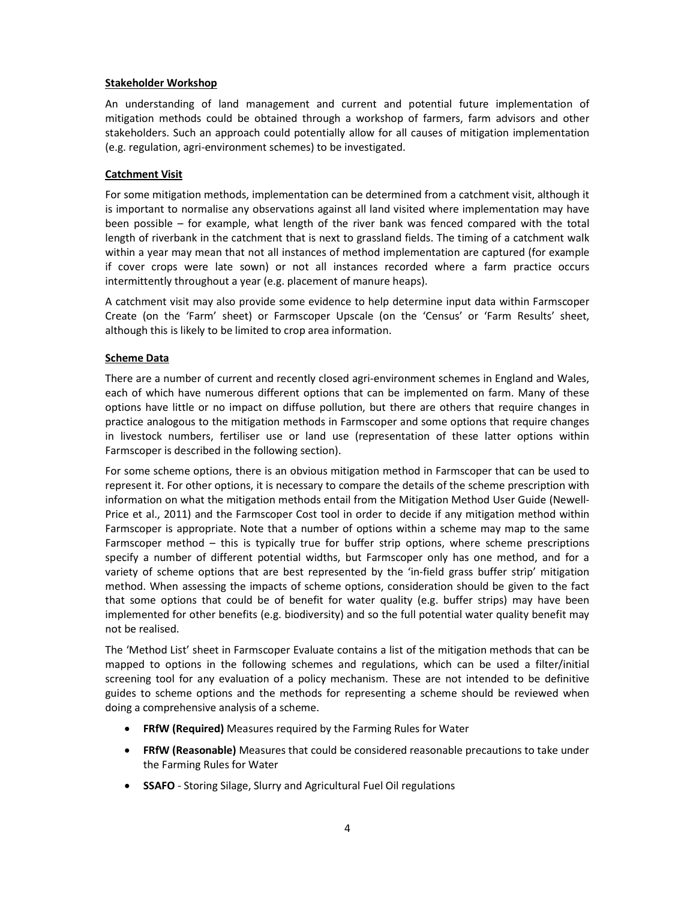## Stakeholder Workshop

An understanding of land management and current and potential future implementation of mitigation methods could be obtained through a workshop of farmers, farm advisors and other stakeholders. Such an approach could potentially allow for all causes of mitigation implementation (e.g. regulation, agri-environment schemes) to be investigated.

## Catchment Visit

For some mitigation methods, implementation can be determined from a catchment visit, although it is important to normalise any observations against all land visited where implementation may have been possible – for example, what length of the river bank was fenced compared with the total length of riverbank in the catchment that is next to grassland fields. The timing of a catchment walk within a year may mean that not all instances of method implementation are captured (for example if cover crops were late sown) or not all instances recorded where a farm practice occurs intermittently throughout a year (e.g. placement of manure heaps).

A catchment visit may also provide some evidence to help determine input data within Farmscoper Create (on the 'Farm' sheet) or Farmscoper Upscale (on the 'Census' or 'Farm Results' sheet, although this is likely to be limited to crop area information.

## Scheme Data

There are a number of current and recently closed agri-environment schemes in England and Wales, each of which have numerous different options that can be implemented on farm. Many of these options have little or no impact on diffuse pollution, but there are others that require changes in practice analogous to the mitigation methods in Farmscoper and some options that require changes in livestock numbers, fertiliser use or land use (representation of these latter options within Farmscoper is described in the following section).

For some scheme options, there is an obvious mitigation method in Farmscoper that can be used to represent it. For other options, it is necessary to compare the details of the scheme prescription with information on what the mitigation methods entail from the Mitigation Method User Guide (Newell-Price et al., 2011) and the Farmscoper Cost tool in order to decide if any mitigation method within Farmscoper is appropriate. Note that a number of options within a scheme may map to the same Farmscoper method – this is typically true for buffer strip options, where scheme prescriptions specify a number of different potential widths, but Farmscoper only has one method, and for a variety of scheme options that are best represented by the 'in-field grass buffer strip' mitigation method. When assessing the impacts of scheme options, consideration should be given to the fact that some options that could be of benefit for water quality (e.g. buffer strips) may have been implemented for other benefits (e.g. biodiversity) and so the full potential water quality benefit may not be realised.

The 'Method List' sheet in Farmscoper Evaluate contains a list of the mitigation methods that can be mapped to options in the following schemes and regulations, which can be used a filter/initial screening tool for any evaluation of a policy mechanism. These are not intended to be definitive guides to scheme options and the methods for representing a scheme should be reviewed when doing a comprehensive analysis of a scheme.

- FRfW (Required) Measures required by the Farming Rules for Water
- **FRfW (Reasonable)** Measures that could be considered reasonable precautions to take under the Farming Rules for Water
- SSAFO Storing Silage, Slurry and Agricultural Fuel Oil regulations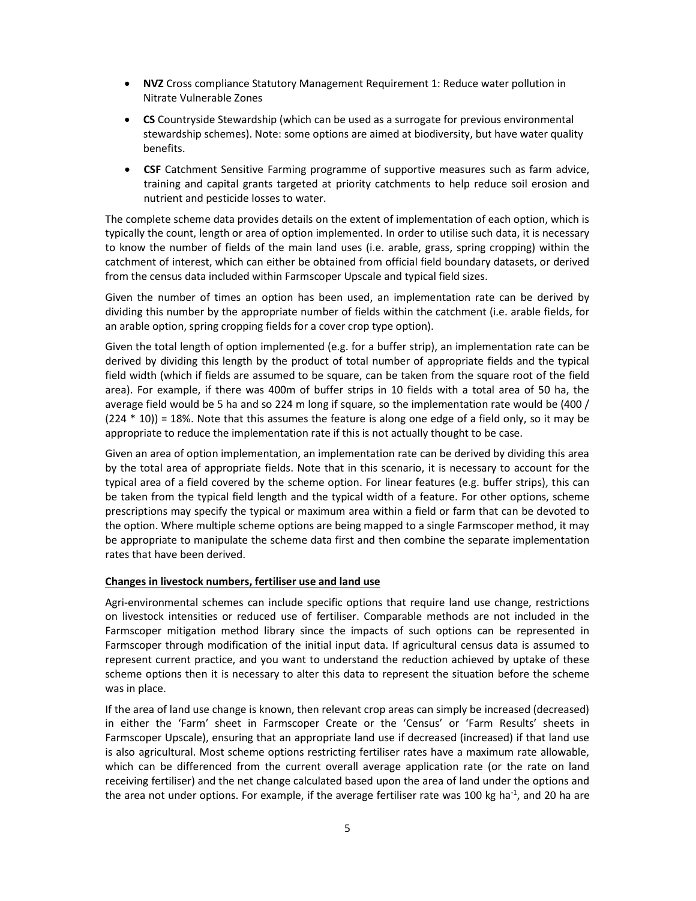- NVZ Cross compliance Statutory Management Requirement 1: Reduce water pollution in Nitrate Vulnerable Zones
- CS Countryside Stewardship (which can be used as a surrogate for previous environmental stewardship schemes). Note: some options are aimed at biodiversity, but have water quality benefits.
- CSF Catchment Sensitive Farming programme of supportive measures such as farm advice, training and capital grants targeted at priority catchments to help reduce soil erosion and nutrient and pesticide losses to water.

The complete scheme data provides details on the extent of implementation of each option, which is typically the count, length or area of option implemented. In order to utilise such data, it is necessary to know the number of fields of the main land uses (i.e. arable, grass, spring cropping) within the catchment of interest, which can either be obtained from official field boundary datasets, or derived from the census data included within Farmscoper Upscale and typical field sizes.

Given the number of times an option has been used, an implementation rate can be derived by dividing this number by the appropriate number of fields within the catchment (i.e. arable fields, for an arable option, spring cropping fields for a cover crop type option).

Given the total length of option implemented (e.g. for a buffer strip), an implementation rate can be derived by dividing this length by the product of total number of appropriate fields and the typical field width (which if fields are assumed to be square, can be taken from the square root of the field area). For example, if there was 400m of buffer strips in 10 fields with a total area of 50 ha, the average field would be 5 ha and so 224 m long if square, so the implementation rate would be (400 / (224 \* 10)) = 18%. Note that this assumes the feature is along one edge of a field only, so it may be appropriate to reduce the implementation rate if this is not actually thought to be case.

Given an area of option implementation, an implementation rate can be derived by dividing this area by the total area of appropriate fields. Note that in this scenario, it is necessary to account for the typical area of a field covered by the scheme option. For linear features (e.g. buffer strips), this can be taken from the typical field length and the typical width of a feature. For other options, scheme prescriptions may specify the typical or maximum area within a field or farm that can be devoted to the option. Where multiple scheme options are being mapped to a single Farmscoper method, it may be appropriate to manipulate the scheme data first and then combine the separate implementation rates that have been derived.

#### Changes in livestock numbers, fertiliser use and land use

Agri-environmental schemes can include specific options that require land use change, restrictions on livestock intensities or reduced use of fertiliser. Comparable methods are not included in the Farmscoper mitigation method library since the impacts of such options can be represented in Farmscoper through modification of the initial input data. If agricultural census data is assumed to represent current practice, and you want to understand the reduction achieved by uptake of these scheme options then it is necessary to alter this data to represent the situation before the scheme was in place.

If the area of land use change is known, then relevant crop areas can simply be increased (decreased) in either the 'Farm' sheet in Farmscoper Create or the 'Census' or 'Farm Results' sheets in Farmscoper Upscale), ensuring that an appropriate land use if decreased (increased) if that land use is also agricultural. Most scheme options restricting fertiliser rates have a maximum rate allowable, which can be differenced from the current overall average application rate (or the rate on land receiving fertiliser) and the net change calculated based upon the area of land under the options and the area not under options. For example, if the average fertiliser rate was 100 kg ha<sup>-1</sup>, and 20 ha are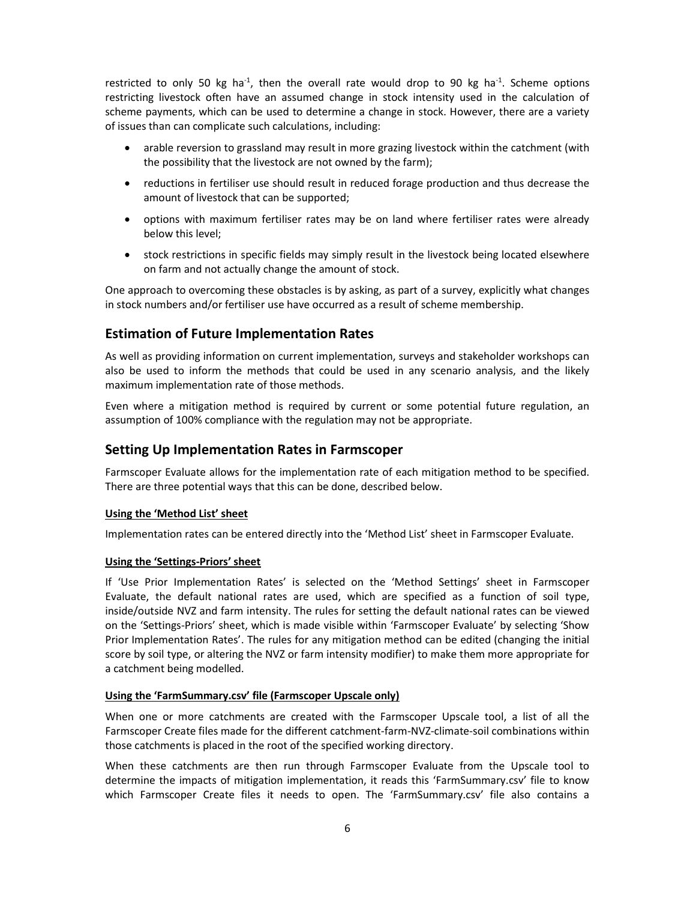restricted to only 50 kg ha<sup>-1</sup>, then the overall rate would drop to 90 kg ha<sup>-1</sup>. Scheme options restricting livestock often have an assumed change in stock intensity used in the calculation of scheme payments, which can be used to determine a change in stock. However, there are a variety of issues than can complicate such calculations, including:

- arable reversion to grassland may result in more grazing livestock within the catchment (with the possibility that the livestock are not owned by the farm);
- reductions in fertiliser use should result in reduced forage production and thus decrease the amount of livestock that can be supported;
- options with maximum fertiliser rates may be on land where fertiliser rates were already below this level;
- stock restrictions in specific fields may simply result in the livestock being located elsewhere on farm and not actually change the amount of stock.

One approach to overcoming these obstacles is by asking, as part of a survey, explicitly what changes in stock numbers and/or fertiliser use have occurred as a result of scheme membership.

# Estimation of Future Implementation Rates

As well as providing information on current implementation, surveys and stakeholder workshops can also be used to inform the methods that could be used in any scenario analysis, and the likely maximum implementation rate of those methods.

Even where a mitigation method is required by current or some potential future regulation, an assumption of 100% compliance with the regulation may not be appropriate.

# Setting Up Implementation Rates in Farmscoper

Farmscoper Evaluate allows for the implementation rate of each mitigation method to be specified. There are three potential ways that this can be done, described below.

# Using the 'Method List' sheet

Implementation rates can be entered directly into the 'Method List' sheet in Farmscoper Evaluate.

# Using the 'Settings-Priors' sheet

If 'Use Prior Implementation Rates' is selected on the 'Method Settings' sheet in Farmscoper Evaluate, the default national rates are used, which are specified as a function of soil type, inside/outside NVZ and farm intensity. The rules for setting the default national rates can be viewed on the 'Settings-Priors' sheet, which is made visible within 'Farmscoper Evaluate' by selecting 'Show Prior Implementation Rates'. The rules for any mitigation method can be edited (changing the initial score by soil type, or altering the NVZ or farm intensity modifier) to make them more appropriate for a catchment being modelled.

#### Using the 'FarmSummary.csv' file (Farmscoper Upscale only)

When one or more catchments are created with the Farmscoper Upscale tool, a list of all the Farmscoper Create files made for the different catchment-farm-NVZ-climate-soil combinations within those catchments is placed in the root of the specified working directory.

When these catchments are then run through Farmscoper Evaluate from the Upscale tool to determine the impacts of mitigation implementation, it reads this 'FarmSummary.csv' file to know which Farmscoper Create files it needs to open. The 'FarmSummary.csv' file also contains a